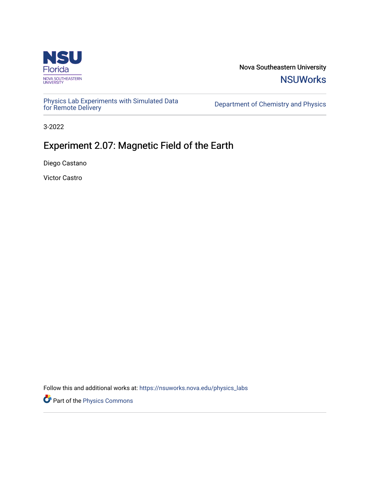

Nova Southeastern University **NSUWorks** 

[Physics Lab Experiments with Simulated Data](https://nsuworks.nova.edu/physics_labs) Department of Chemistry and Physics<br>for Remote Delivery

3-2022

# Experiment 2.07: Magnetic Field of the Earth

Diego Castano

Victor Castro

Follow this and additional works at: [https://nsuworks.nova.edu/physics\\_labs](https://nsuworks.nova.edu/physics_labs?utm_source=nsuworks.nova.edu%2Fphysics_labs%2F14&utm_medium=PDF&utm_campaign=PDFCoverPages)

Part of the [Physics Commons](http://network.bepress.com/hgg/discipline/193?utm_source=nsuworks.nova.edu%2Fphysics_labs%2F14&utm_medium=PDF&utm_campaign=PDFCoverPages)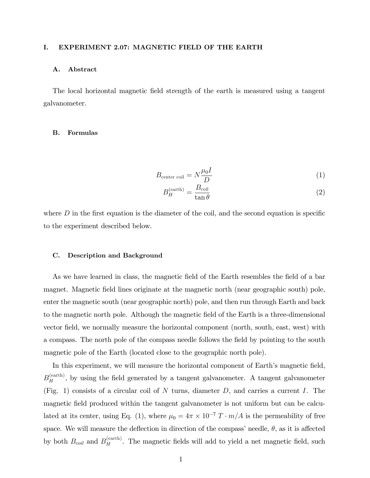#### I. EXPERIMENT 2.07: MAGNETIC FIELD OF THE EARTH

#### A. Abstract

The local horizontal magnetic field strength of the earth is measured using a tangent galvanometer.

#### B. Formulas

$$
B_{\text{center coil}} = N \frac{\mu_0 I}{D} \tag{1}
$$

$$
B_H^{\text{(earth)}} = \frac{B_{\text{coil}}}{\tan \theta} \tag{2}
$$

where  $D$  in the first equation is the diameter of the coil, and the second equation is specific to the experiment described below.

#### C. Description and Background

As we have learned in class, the magnetic field of the Earth resembles the field of a bar magnet. Magnetic Öeld lines originate at the magnetic north (near geographic south) pole, enter the magnetic south (near geographic north) pole, and then run through Earth and back to the magnetic north pole. Although the magnetic Öeld of the Earth is a three-dimensional vector field, we normally measure the horizontal component (north, south, east, west) with a compass. The north pole of the compass needle follows the Öeld by pointing to the south magnetic pole of the Earth (located close to the geographic north pole).

In this experiment, we will measure the horizontal component of Earth's magnetic field,  $B_H^{\text{(earth)}}$ , by using the field generated by a tangent galvanometer. A tangent galvanometer (Fig. 1) consists of a circular coil of  $N$  turns, diameter  $D$ , and carries a current  $I$ . The magnetic field produced within the tangent galvanometer is not uniform but can be calculated at its center, using Eq. (1), where  $\mu_0 = 4\pi \times 10^{-7} T \cdot m/A$  is the permeability of free space. We will measure the deflection in direction of the compass' needle,  $\theta$ , as it is affected by both  $B_{coil}$  and  $B_H^{\text{(earth)}}$ . The magnetic fields will add to yield a net magnetic field, such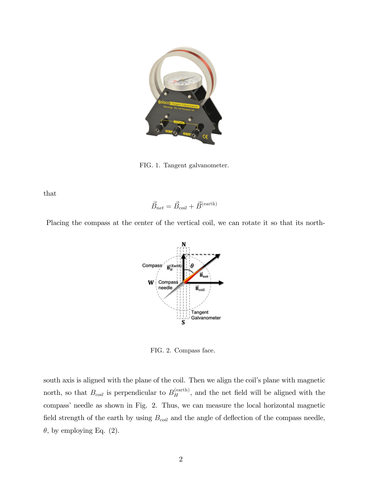

FIG. 1. Tangent galvanometer.

that

$$
\vec{B}_{net} = \vec{B}_{coil} + \vec{B}^{(earth)}
$$



Placing the compass at the center of the vertical coil, we can rotate it so that its north-

FIG. 2. Compass face.

south axis is aligned with the plane of the coil. Then we align the coil's plane with magnetic north, so that  $B_{coil}$  is perpendicular to  $B_H^{\text{(earth)}}$ , and the net field will be aligned with the compass' needle as shown in Fig. 2. Thus, we can measure the local horizontal magnetic field strength of the earth by using  $B_{coil}$  and the angle of deflection of the compass needle,  $\theta$ , by employing Eq. (2).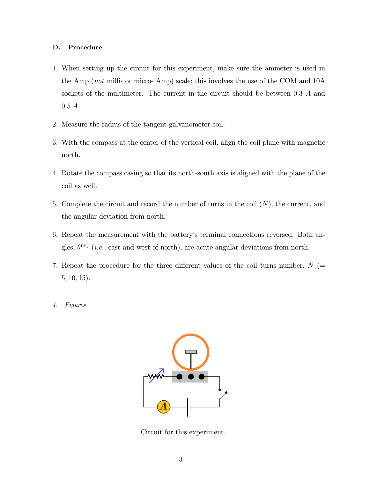#### D. Procedure

- 1. When setting up the circuit for this experiment, make sure the ammeter is used in the Amp (not milli- or micro- Amp) scale; this involves the use of the COM and 10A sockets of the multimeter. The current in the circuit should be between 0:3 A and 0:5 A.
- 2. Measure the radius of the tangent galvanometer coil.
- 3. With the compass at the center of the vertical coil, align the coil plane with magnetic north.
- 4. Rotate the compass casing so that its north-south axis is aligned with the plane of the coil as well.
- 5. Complete the circuit and record the number of turns in the coil  $(N)$ , the current, and the angular deviation from north.
- 6. Repeat the measurement with the batteryís terminal connections reversed. Both angles,  $\theta^{(\pm)}$  (*i.e.*, east and west of north), are acute angular deviations from north.
- 7. Repeat the procedure for the three different values of the coil turns number,  $N$  (=  $5, 10, 15$ .
- 1. Figures



Circuit for this experiment.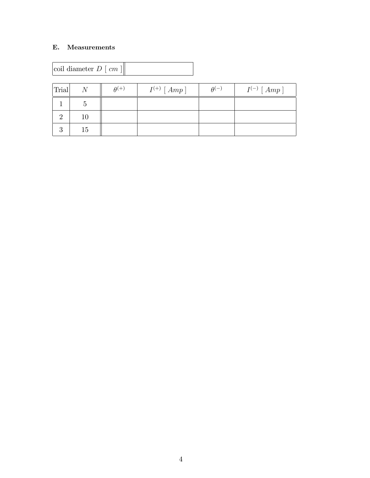### E. Measurements

| coil diameter $D \mid cm$ |  |
|---------------------------|--|
|---------------------------|--|

| Trial | $\overline{N}$ | $\theta^{(+)}$ | $I^{(+)}$ [ $Amp$ ] | $\theta^{(-)}$ | $I^{(-)}$ [ $Amp$ ] |
|-------|----------------|----------------|---------------------|----------------|---------------------|
|       |                |                |                     |                |                     |
|       | $10\,$         |                |                     |                |                     |
|       | 15             |                |                     |                |                     |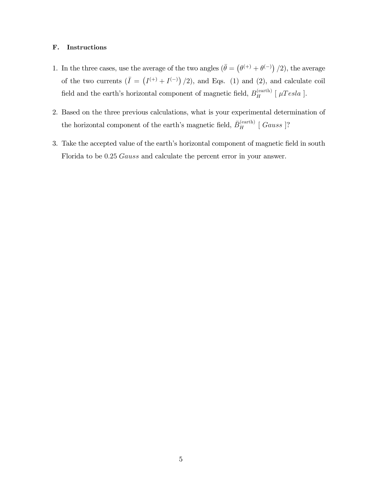#### F. Instructions

- 1. In the three cases, use the average of the two angles  $(\bar{\theta} = (\theta^{(+)} + \theta^{(-)})/2)$ , the average of the two currents  $(\bar{I} = (I^{(+)} + I^{(-)})/2)$ , and Eqs. (1) and (2), and calculate coil field and the earth's horizontal component of magnetic field,  $B_H^{\text{(earth)}}$  [ $\mu Tesla$ ].
- 2. Based on the three previous calculations, what is your experimental determination of the horizontal component of the earth's magnetic field,  $\bar{B}_{H}^{(earth)}$  [*Gauss* ]?
- 3. Take the accepted value of the earth's horizontal component of magnetic field in south Florida to be 0:25 Gauss and calculate the percent error in your answer.